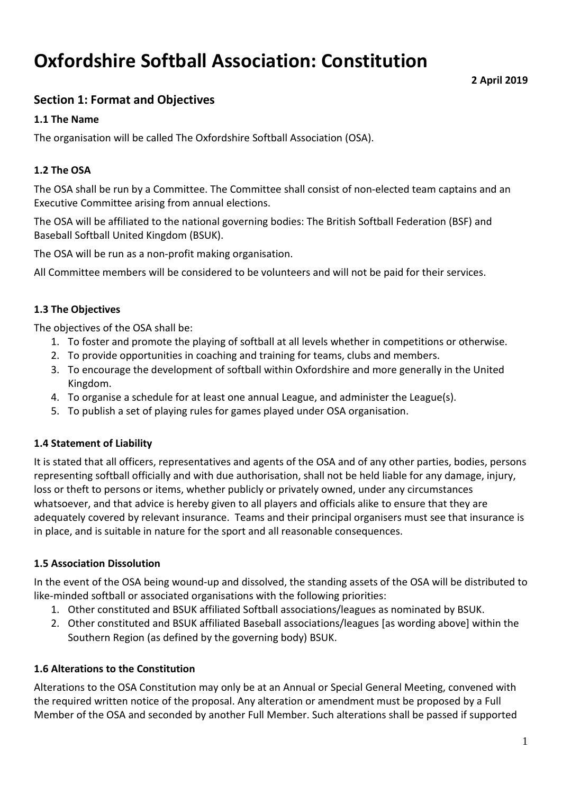# **Oxfordshire Softball Association: Constitution**

# **Section 1: Format and Objectives**

#### **1.1 The Name**

The organisation will be called The Oxfordshire Softball Association (OSA).

## **1.2 The OSA**

The OSA shall be run by a Committee. The Committee shall consist of non-elected team captains and an Executive Committee arising from annual elections.

The OSA will be affiliated to the national governing bodies: The British Softball Federation (BSF) and Baseball Softball United Kingdom (BSUK).

The OSA will be run as a non-profit making organisation.

All Committee members will be considered to be volunteers and will not be paid for their services.

#### **1.3 The Objectives**

The objectives of the OSA shall be:

- 1. To foster and promote the playing of softball at all levels whether in competitions or otherwise.
- 2. To provide opportunities in coaching and training for teams, clubs and members.
- 3. To encourage the development of softball within Oxfordshire and more generally in the United Kingdom.
- 4. To organise a schedule for at least one annual League, and administer the League(s).
- 5. To publish a set of playing rules for games played under OSA organisation.

#### **1.4 Statement of Liability**

It is stated that all officers, representatives and agents of the OSA and of any other parties, bodies, persons representing softball officially and with due authorisation, shall not be held liable for any damage, injury, loss or theft to persons or items, whether publicly or privately owned, under any circumstances whatsoever, and that advice is hereby given to all players and officials alike to ensure that they are adequately covered by relevant insurance. Teams and their principal organisers must see that insurance is in place, and is suitable in nature for the sport and all reasonable consequences.

# **1.5 Association Dissolution**

In the event of the OSA being wound-up and dissolved, the standing assets of the OSA will be distributed to like-minded softball or associated organisations with the following priorities:

- 1. Other constituted and BSUK affiliated Softball associations/leagues as nominated by BSUK.
- 2. Other constituted and BSUK affiliated Baseball associations/leagues [as wording above] within the Southern Region (as defined by the governing body) BSUK.

#### **1.6 Alterations to the Constitution**

Alterations to the OSA Constitution may only be at an Annual or Special General Meeting, convened with the required written notice of the proposal. Any alteration or amendment must be proposed by a Full Member of the OSA and seconded by another Full Member. Such alterations shall be passed if supported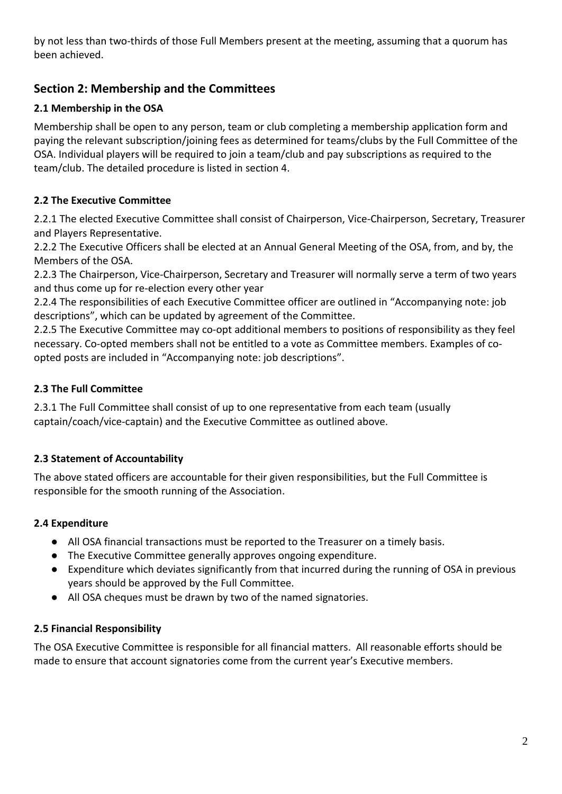by not less than two-thirds of those Full Members present at the meeting, assuming that a quorum has been achieved.

# **Section 2: Membership and the Committees**

# **2.1 Membership in the OSA**

Membership shall be open to any person, team or club completing a membership application form and paying the relevant subscription/joining fees as determined for teams/clubs by the Full Committee of the OSA. Individual players will be required to join a team/club and pay subscriptions as required to the team/club. The detailed procedure is listed in section 4.

# **2.2 The Executive Committee**

2.2.1 The elected Executive Committee shall consist of Chairperson, Vice-Chairperson, Secretary, Treasurer and Players Representative.

2.2.2 The Executive Officers shall be elected at an Annual General Meeting of the OSA, from, and by, the Members of the OSA.

2.2.3 The Chairperson, Vice-Chairperson, Secretary and Treasurer will normally serve a term of two years and thus come up for re-election every other year

2.2.4 The responsibilities of each Executive Committee officer are outlined in "Accompanying note: job descriptions", which can be updated by agreement of the Committee.

2.2.5 The Executive Committee may co-opt additional members to positions of responsibility as they feel necessary. Co-opted members shall not be entitled to a vote as Committee members. Examples of coopted posts are included in "Accompanying note: job descriptions".

# **2.3 The Full Committee**

2.3.1 The Full Committee shall consist of up to one representative from each team (usually captain/coach/vice-captain) and the Executive Committee as outlined above.

# **2.3 Statement of Accountability**

The above stated officers are accountable for their given responsibilities, but the Full Committee is responsible for the smooth running of the Association.

# **2.4 Expenditure**

- All OSA financial transactions must be reported to the Treasurer on a timely basis.
- The Executive Committee generally approves ongoing expenditure.
- Expenditure which deviates significantly from that incurred during the running of OSA in previous years should be approved by the Full Committee.
- All OSA cheques must be drawn by two of the named signatories.

# **2.5 Financial Responsibility**

The OSA Executive Committee is responsible for all financial matters. All reasonable efforts should be made to ensure that account signatories come from the current year's Executive members.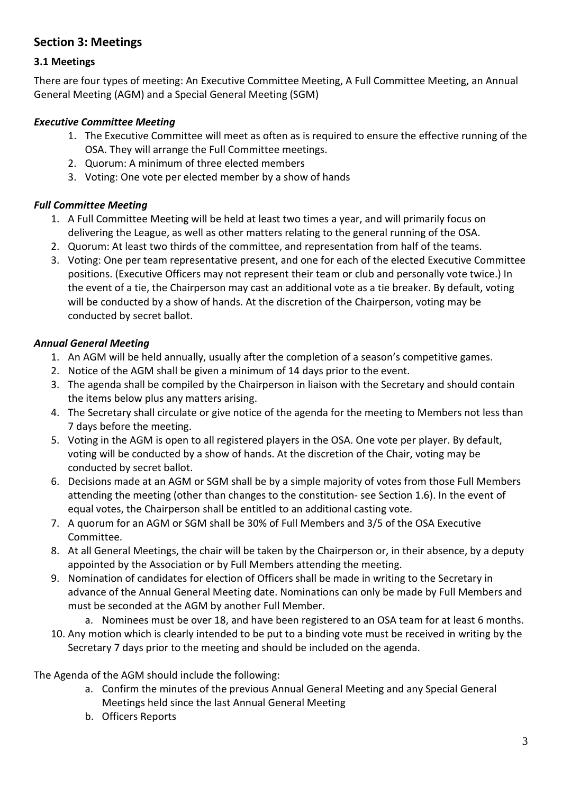# **Section 3: Meetings**

# **3.1 Meetings**

There are four types of meeting: An Executive Committee Meeting, A Full Committee Meeting, an Annual General Meeting (AGM) and a Special General Meeting (SGM)

#### *Executive Committee Meeting*

- 1. The Executive Committee will meet as often as is required to ensure the effective running of the OSA. They will arrange the Full Committee meetings.
- 2. Quorum: A minimum of three elected members
- 3. Voting: One vote per elected member by a show of hands

#### *Full Committee Meeting*

- 1. A Full Committee Meeting will be held at least two times a year, and will primarily focus on delivering the League, as well as other matters relating to the general running of the OSA.
- 2. Quorum: At least two thirds of the committee, and representation from half of the teams.
- 3. Voting: One per team representative present, and one for each of the elected Executive Committee positions. (Executive Officers may not represent their team or club and personally vote twice.) In the event of a tie, the Chairperson may cast an additional vote as a tie breaker. By default, voting will be conducted by a show of hands. At the discretion of the Chairperson, voting may be conducted by secret ballot.

#### *Annual General Meeting*

- 1. An AGM will be held annually, usually after the completion of a season's competitive games.
- 2. Notice of the AGM shall be given a minimum of 14 days prior to the event.
- 3. The agenda shall be compiled by the Chairperson in liaison with the Secretary and should contain the items below plus any matters arising.
- 4. The Secretary shall circulate or give notice of the agenda for the meeting to Members not less than 7 days before the meeting.
- 5. Voting in the AGM is open to all registered players in the OSA. One vote per player. By default, voting will be conducted by a show of hands. At the discretion of the Chair, voting may be conducted by secret ballot.
- 6. Decisions made at an AGM or SGM shall be by a simple majority of votes from those Full Members attending the meeting (other than changes to the constitution- see Section 1.6). In the event of equal votes, the Chairperson shall be entitled to an additional casting vote.
- 7. A quorum for an AGM or SGM shall be 30% of Full Members and 3/5 of the OSA Executive Committee.
- 8. At all General Meetings, the chair will be taken by the Chairperson or, in their absence, by a deputy appointed by the Association or by Full Members attending the meeting.
- 9. Nomination of candidates for election of Officers shall be made in writing to the Secretary in advance of the Annual General Meeting date. Nominations can only be made by Full Members and must be seconded at the AGM by another Full Member.
	- a. Nominees must be over 18, and have been registered to an OSA team for at least 6 months.
- 10. Any motion which is clearly intended to be put to a binding vote must be received in writing by the Secretary 7 days prior to the meeting and should be included on the agenda.

The Agenda of the AGM should include the following:

- a. Confirm the minutes of the previous Annual General Meeting and any Special General Meetings held since the last Annual General Meeting
- b. Officers Reports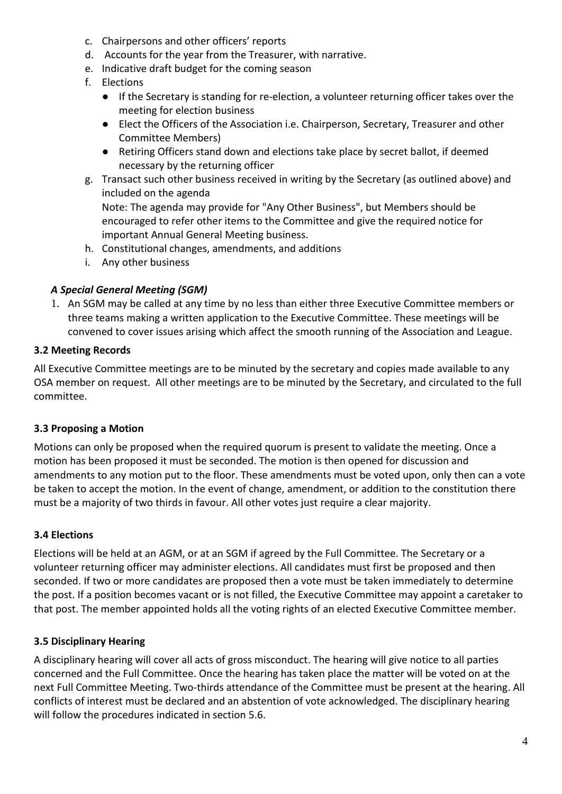- c. Chairpersons and other officers' reports
- d. Accounts for the year from the Treasurer, with narrative.
- e. Indicative draft budget for the coming season
- f. Elections
	- If the Secretary is standing for re-election, a volunteer returning officer takes over the meeting for election business
	- Elect the Officers of the Association i.e. Chairperson, Secretary, Treasurer and other Committee Members)
	- Retiring Officers stand down and elections take place by secret ballot, if deemed necessary by the returning officer
- g. Transact such other business received in writing by the Secretary (as outlined above) and included on the agenda

Note: The agenda may provide for "Any Other Business", but Members should be encouraged to refer other items to the Committee and give the required notice for important Annual General Meeting business.

- h. Constitutional changes, amendments, and additions
- i. Any other business

# *A Special General Meeting (SGM)*

1. An SGM may be called at any time by no less than either three Executive Committee members or three teams making a written application to the Executive Committee. These meetings will be convened to cover issues arising which affect the smooth running of the Association and League.

# **3.2 Meeting Records**

All Executive Committee meetings are to be minuted by the secretary and copies made available to any OSA member on request. All other meetings are to be minuted by the Secretary, and circulated to the full committee.

# **3.3 Proposing a Motion**

Motions can only be proposed when the required quorum is present to validate the meeting. Once a motion has been proposed it must be seconded. The motion is then opened for discussion and amendments to any motion put to the floor. These amendments must be voted upon, only then can a vote be taken to accept the motion. In the event of change, amendment, or addition to the constitution there must be a majority of two thirds in favour. All other votes just require a clear majority.

# **3.4 Elections**

Elections will be held at an AGM, or at an SGM if agreed by the Full Committee. The Secretary or a volunteer returning officer may administer elections. All candidates must first be proposed and then seconded. If two or more candidates are proposed then a vote must be taken immediately to determine the post. If a position becomes vacant or is not filled, the Executive Committee may appoint a caretaker to that post. The member appointed holds all the voting rights of an elected Executive Committee member.

# **3.5 Disciplinary Hearing**

A disciplinary hearing will cover all acts of gross misconduct. The hearing will give notice to all parties concerned and the Full Committee. Once the hearing has taken place the matter will be voted on at the next Full Committee Meeting. Two-thirds attendance of the Committee must be present at the hearing. All conflicts of interest must be declared and an abstention of vote acknowledged. The disciplinary hearing will follow the procedures indicated in section 5.6.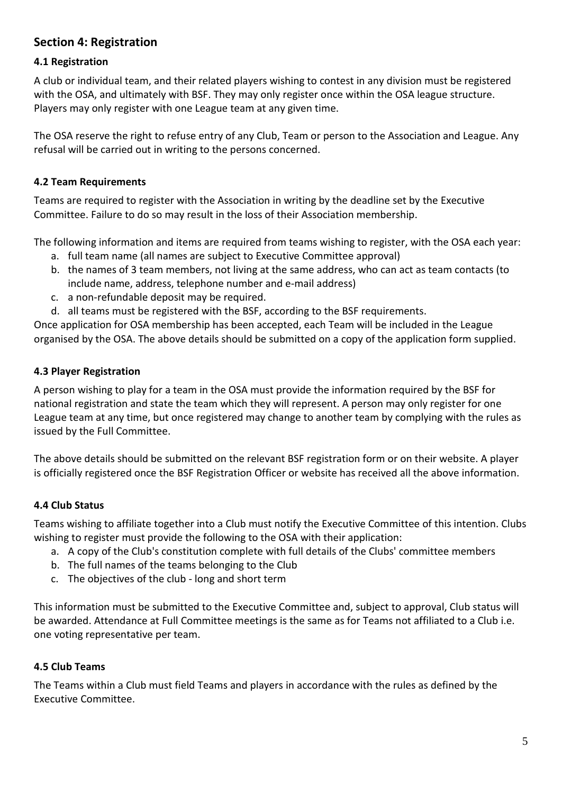# **Section 4: Registration**

#### **4.1 Registration**

A club or individual team, and their related players wishing to contest in any division must be registered with the OSA, and ultimately with BSF. They may only register once within the OSA league structure. Players may only register with one League team at any given time.

The OSA reserve the right to refuse entry of any Club, Team or person to the Association and League. Any refusal will be carried out in writing to the persons concerned.

#### **4.2 Team Requirements**

Teams are required to register with the Association in writing by the deadline set by the Executive Committee. Failure to do so may result in the loss of their Association membership.

The following information and items are required from teams wishing to register, with the OSA each year:

- a. full team name (all names are subject to Executive Committee approval)
- b. the names of 3 team members, not living at the same address, who can act as team contacts (to include name, address, telephone number and e-mail address)
- c. a non-refundable deposit may be required.
- d. all teams must be registered with the BSF, according to the BSF requirements.

Once application for OSA membership has been accepted, each Team will be included in the League organised by the OSA. The above details should be submitted on a copy of the application form supplied.

#### **4.3 Player Registration**

A person wishing to play for a team in the OSA must provide the information required by the BSF for national registration and state the team which they will represent. A person may only register for one League team at any time, but once registered may change to another team by complying with the rules as issued by the Full Committee.

The above details should be submitted on the relevant BSF registration form or on their website. A player is officially registered once the BSF Registration Officer or website has received all the above information.

#### **4.4 Club Status**

Teams wishing to affiliate together into a Club must notify the Executive Committee of this intention. Clubs wishing to register must provide the following to the OSA with their application:

- a. A copy of the Club's constitution complete with full details of the Clubs' committee members
- b. The full names of the teams belonging to the Club
- c. The objectives of the club long and short term

This information must be submitted to the Executive Committee and, subject to approval, Club status will be awarded. Attendance at Full Committee meetings is the same as for Teams not affiliated to a Club i.e. one voting representative per team.

#### **4.5 Club Teams**

The Teams within a Club must field Teams and players in accordance with the rules as defined by the Executive Committee.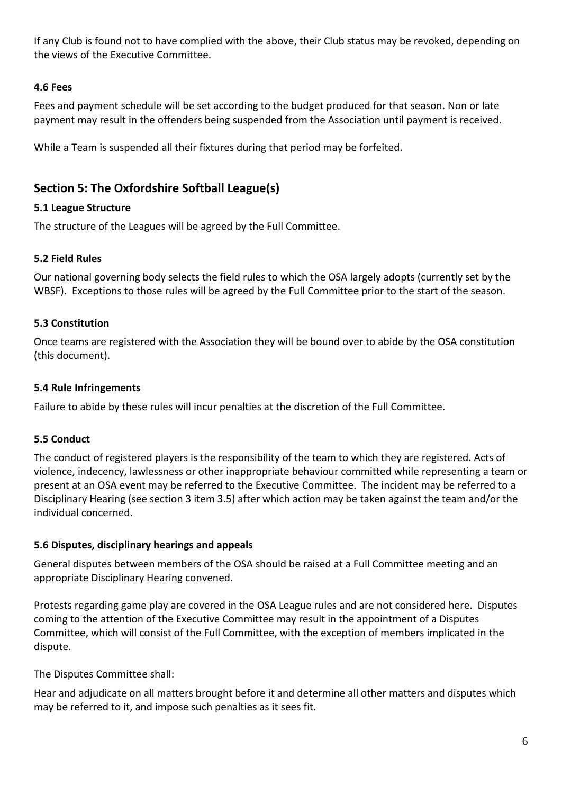If any Club is found not to have complied with the above, their Club status may be revoked, depending on the views of the Executive Committee.

# **4.6 Fees**

Fees and payment schedule will be set according to the budget produced for that season. Non or late payment may result in the offenders being suspended from the Association until payment is received.

While a Team is suspended all their fixtures during that period may be forfeited.

# **Section 5: The Oxfordshire Softball League(s)**

#### **5.1 League Structure**

The structure of the Leagues will be agreed by the Full Committee.

#### **5.2 Field Rules**

Our national governing body selects the field rules to which the OSA largely adopts (currently set by the WBSF). Exceptions to those rules will be agreed by the Full Committee prior to the start of the season.

#### **5.3 Constitution**

Once teams are registered with the Association they will be bound over to abide by the OSA constitution (this document).

#### **5.4 Rule Infringements**

Failure to abide by these rules will incur penalties at the discretion of the Full Committee.

#### **5.5 Conduct**

The conduct of registered players is the responsibility of the team to which they are registered. Acts of violence, indecency, lawlessness or other inappropriate behaviour committed while representing a team or present at an OSA event may be referred to the Executive Committee. The incident may be referred to a Disciplinary Hearing (see section 3 item 3.5) after which action may be taken against the team and/or the individual concerned.

#### **5.6 Disputes, disciplinary hearings and appeals**

General disputes between members of the OSA should be raised at a Full Committee meeting and an appropriate Disciplinary Hearing convened.

Protests regarding game play are covered in the OSA League rules and are not considered here. Disputes coming to the attention of the Executive Committee may result in the appointment of a Disputes Committee, which will consist of the Full Committee, with the exception of members implicated in the dispute.

The Disputes Committee shall:

Hear and adjudicate on all matters brought before it and determine all other matters and disputes which may be referred to it, and impose such penalties as it sees fit.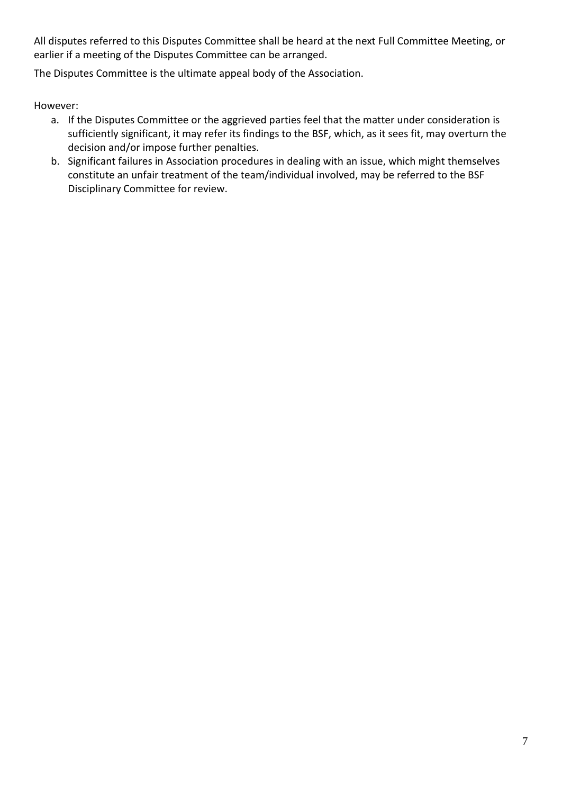All disputes referred to this Disputes Committee shall be heard at the next Full Committee Meeting, or earlier if a meeting of the Disputes Committee can be arranged.

The Disputes Committee is the ultimate appeal body of the Association.

However:

- a. If the Disputes Committee or the aggrieved parties feel that the matter under consideration is sufficiently significant, it may refer its findings to the BSF, which, as it sees fit, may overturn the decision and/or impose further penalties.
- b. Significant failures in Association procedures in dealing with an issue, which might themselves constitute an unfair treatment of the team/individual involved, may be referred to the BSF Disciplinary Committee for review.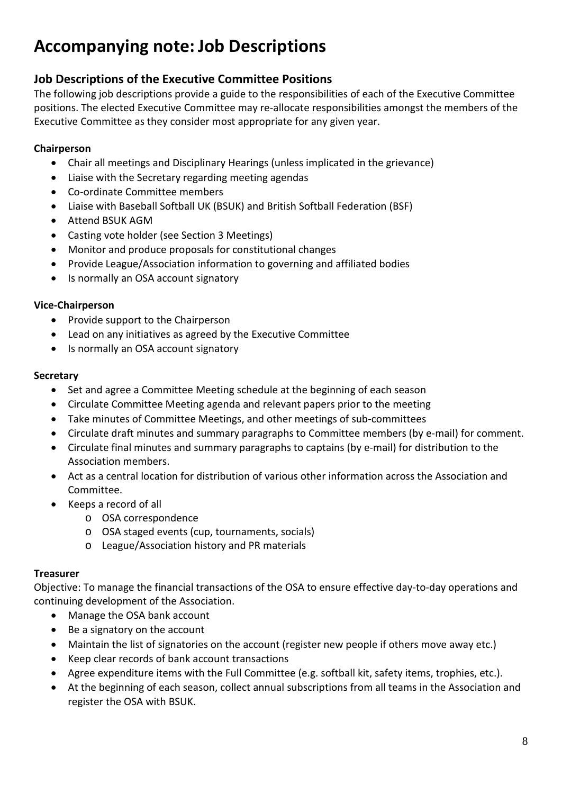# **Accompanying note: Job Descriptions**

# **Job Descriptions of the Executive Committee Positions**

The following job descriptions provide a guide to the responsibilities of each of the Executive Committee positions. The elected Executive Committee may re-allocate responsibilities amongst the members of the Executive Committee as they consider most appropriate for any given year.

# **Chairperson**

- Chair all meetings and Disciplinary Hearings (unless implicated in the grievance)
- Liaise with the Secretary regarding meeting agendas
- Co-ordinate Committee members
- Liaise with Baseball Softball UK (BSUK) and British Softball Federation (BSF)
- Attend BSUK AGM
- Casting vote holder (see Section 3 Meetings)
- Monitor and produce proposals for constitutional changes
- Provide League/Association information to governing and affiliated bodies
- Is normally an OSA account signatory

# **Vice-Chairperson**

- Provide support to the Chairperson
- Lead on any initiatives as agreed by the Executive Committee
- Is normally an OSA account signatory

# **Secretary**

- Set and agree a Committee Meeting schedule at the beginning of each season
- Circulate Committee Meeting agenda and relevant papers prior to the meeting
- Take minutes of Committee Meetings, and other meetings of sub-committees
- Circulate draft minutes and summary paragraphs to Committee members (by e-mail) for comment.
- Circulate final minutes and summary paragraphs to captains (by e-mail) for distribution to the Association members.
- Act as a central location for distribution of various other information across the Association and Committee.
- Keeps a record of all
	- o OSA correspondence
	- o OSA staged events (cup, tournaments, socials)
	- o League/Association history and PR materials

# **Treasurer**

Objective: To manage the financial transactions of the OSA to ensure effective day-to-day operations and continuing development of the Association.

- Manage the OSA bank account
- Be a signatory on the account
- Maintain the list of signatories on the account (register new people if others move away etc.)
- Keep clear records of bank account transactions
- Agree expenditure items with the Full Committee (e.g. softball kit, safety items, trophies, etc.).
- At the beginning of each season, collect annual subscriptions from all teams in the Association and register the OSA with BSUK.